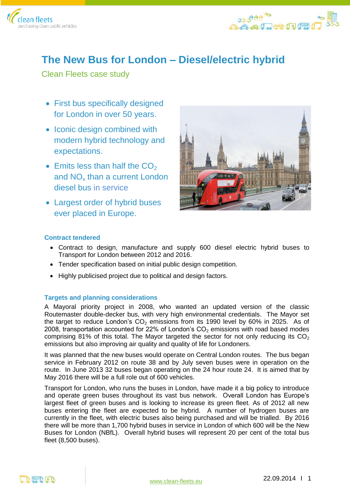



# **The New Bus for London – Diesel/electric hybrid**

Clean Fleets case study

- First bus specifically designed for London in over 50 years.
- Iconic design combined with modern hybrid technology and expectations.
- $\bullet$  Emits less than half the  $CO<sub>2</sub>$ and NO<sub>x</sub> than a current London diesel bus in service
- Largest order of hybrid buses ever placed in Europe.



# **Contract tendered**

- Contract to design, manufacture and supply 600 diesel electric hybrid buses to Transport for London between 2012 and 2016.
- Tender specification based on initial public design competition.
- Highly publicised project due to political and design factors.

# **Targets and planning considerations**

A Mayoral priority project in 2008, who wanted an updated version of the classic Routemaster double-decker bus, with very high environmental credentials. The Mayor set the target to reduce London's  $CO<sub>2</sub>$  emissions from its 1990 level by 60% in 2025. As of 2008, transportation accounted for 22% of London's  $CO<sub>2</sub>$  emissions with road based modes comprising 81% of this total. The Mayor targeted the sector for not only reducing its  $CO<sub>2</sub>$ emissions but also improving air quality and quality of life for Londoners.

It was planned that the new buses would operate on Central London routes. The bus began service in February 2012 on route 38 and by July seven buses were in operation on the route. In June 2013 32 buses began operating on the 24 hour route 24. It is aimed that by May 2016 there will be a full role out of 600 vehicles.

Transport for London, who runs the buses in London, have made it a big policy to introduce and operate green buses throughout its vast bus network. Overall London has Europe's largest fleet of green buses and is looking to increase its green fleet. As of 2012 all new buses entering the fleet are expected to be hybrid. A number of hydrogen buses are currently in the fleet, with electric buses also being purchased and will be trialled. By 2016 there will be more than 1,700 hybrid buses in service in London of which 600 will be the New Buses for London (NBfL). Overall hybrid buses will represent 20 per cent of the total bus fleet (8,500 buses).

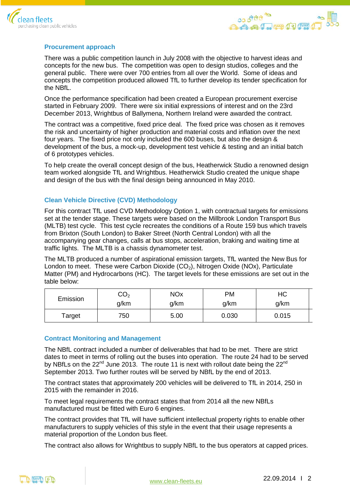



## **Procurement approach**

There was a public competition launch in July 2008 with the objective to harvest ideas and concepts for the new bus. The competition was open to design studios, colleges and the general public. There were over 700 entries from all over the World. Some of ideas and concepts the competition produced allowed TfL to further develop its tender specification for the NBfL.

Once the performance specification had been created a European procurement exercise started in February 2009. There were six initial expressions of interest and on the 23rd December 2013, Wrightbus of Ballymena, Northern Ireland were awarded the contract.

The contract was a competitive, fixed price deal. The fixed price was chosen as it removes the risk and uncertainty of higher production and material costs and inflation over the next four years. The fixed price not only included the 600 buses, but also the design & development of the bus, a mock-up, development test vehicle & testing and an initial batch of 6 prototypes vehicles.

To help create the overall concept design of the bus, Heatherwick Studio a renowned design team worked alongside TfL and Wrightbus. Heatherwick Studio created the unique shape and design of the bus with the final design being announced in May 2010.

## **Clean Vehicle Directive (CVD) Methodology**

For this contract TfL used CVD Methodology Option 1, with contractual targets for emissions set at the tender stage. These targets were based on the Millbrook London Transport Bus (MLTB) test cycle. This test cycle recreates the conditions of a Route 159 bus which travels from Brixton (South London) to Baker Street (North Central London) with all the accompanying gear changes, calls at bus stops, acceleration, braking and waiting time at traffic lights. The MLTB is a chassis dynamometer test.

The MLTB produced a number of aspirational emission targets, TfL wanted the New Bus for London to meet. These were Carbon Dioxide  $(CO<sub>2</sub>)$ , Nitrogen Oxide (NOx), Particulate Matter (PM) and Hydrocarbons (HC). The target levels for these emissions are set out in the table below:

| Emission | CO <sub>2</sub> | <b>NOx</b> | PM    | НC    |
|----------|-----------------|------------|-------|-------|
|          | g/km            | g/km       | g/km  | g/km  |
| Target   | 750             | 5.00       | 0.030 | 0.015 |

### **Contract Monitoring and Management**

The NBfL contract included a number of deliverables that had to be met. There are strict dates to meet in terms of rolling out the buses into operation. The route 24 had to be served by NBfLs on the  $22^{nd}$  June 2013. The route 11 is next with rollout date being the  $22^{nd}$ September 2013. Two further routes will be served by NBfL by the end of 2013.

The contract states that approximately 200 vehicles will be delivered to TfL in 2014, 250 in 2015 with the remainder in 2016.

To meet legal requirements the contract states that from 2014 all the new NBfLs manufactured must be fitted with Euro 6 engines.

The contract provides that TfL will have sufficient intellectual property rights to enable other manufacturers to supply vehicles of this style in the event that their usage represents a material proportion of the London bus fleet.

The contract also allows for Wrightbus to supply NBfL to the bus operators at capped prices.

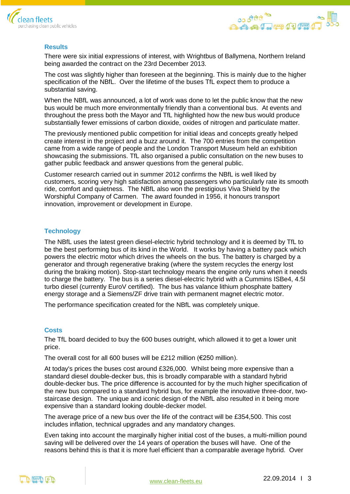



# **Results**

There were six initial expressions of interest, with Wrightbus of Ballymena, Northern Ireland being awarded the contract on the 23rd December 2013.

The cost was slightly higher than foreseen at the beginning. This is mainly due to the higher specification of the NBfL. Over the lifetime of the buses TfL expect them to produce a substantial saving.

When the NBfL was announced, a lot of work was done to let the public know that the new bus would be much more environmentally friendly than a conventional bus. At events and throughout the press both the Mayor and TfL highlighted how the new bus would produce substantially fewer emissions of carbon dioxide, oxides of nitrogen and particulate matter.

The previously mentioned public competition for initial ideas and concepts greatly helped create interest in the project and a buzz around it. The 700 entries from the competition came from a wide range of people and the London Transport Museum held an exhibition showcasing the submissions. TfL also organised a public consultation on the new buses to gather public feedback and answer questions from the general public.

Customer research carried out in summer 2012 confirms the NBfL is well liked by customers, scoring very high satisfaction among passengers who particularly rate its smooth ride, comfort and quietness. The NBfL also won the prestigious Viva Shield by the Worshipful Company of Carmen. The award founded in 1956, it honours transport innovation, improvement or development in Europe.

### **Technology**

The NBfL uses the latest green diesel-electric hybrid technology and it is deemed by TfL to be the best performing bus of its kind in the World. It works by having a battery pack which powers the electric motor which drives the wheels on the bus. The battery is charged by a generator and through regenerative braking (where the system recycles the energy lost during the braking motion). Stop-start technology means the engine only runs when it needs to charge the battery. The bus is a series diesel-electric hybrid with a Cummins ISBe4, 4.5l turbo diesel (currently EuroV certified). The bus has valance lithium phosphate battery energy storage and a Siemens/ZF drive train with permanent magnet electric motor.

The performance specification created for the NBfL was completely unique.

### **Costs**

The TfL board decided to buy the 600 buses outright, which allowed it to get a lower unit price.

The overall cost for all 600 buses will be £212 million (€250 million).

At today's prices the buses cost around £326,000. Whilst being more expensive than a standard diesel double-decker bus, this is broadly comparable with a standard hybrid double-decker bus. The price difference is accounted for by the much higher specification of the new bus compared to a standard hybrid bus, for example the innovative three-door, twostaircase design. The unique and iconic design of the NBfL also resulted in it being more expensive than a standard looking double-decker model.

The average price of a new bus over the life of the contract will be £354,500. This cost includes inflation, technical upgrades and any mandatory changes.

Even taking into account the marginally higher initial cost of the buses, a multi-million pound saving will be delivered over the 14 years of operation the buses will have. One of the reasons behind this is that it is more fuel efficient than a comparable average hybrid. Over

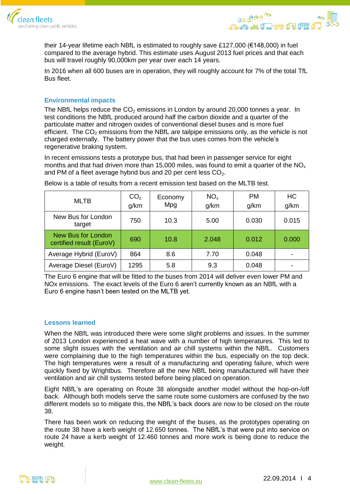



their 14-year lifetime each NBfL is estimated to roughly save £127,000 (€148,000) in fuel compared to the average hybrid. This estimate uses August 2013 fuel prices and that each bus will travel roughly 90,000km per year over each 14 years.

In 2016 when all 600 buses are in operation, they will roughly account for 7% of the total TfL Bus fleet.

## **Environmental impacts**

The NBfL helps reduce the  $CO<sub>2</sub>$  emissions in London by around 20,000 tonnes a year. In test conditions the NBfL produced around half the carbon dioxide and a quarter of the particulate matter and nitrogen oxides of conventional diesel buses and is more fuel efficient. The  $CO<sub>2</sub>$  emissions from the NBfL are tailpipe emissions only, as the vehicle is not charged externally. The battery power that the bus uses comes from the vehicle's regenerative braking system.

In recent emissions tests a prototype bus, that had been in passenger service for eight months and that had driven more than 15,000 miles, was found to emit a quarter of the  $NO<sub>x</sub>$ and PM of a fleet average hybrid bus and 20 per cent less  $CO<sub>2</sub>$ .

| <b>MLTB</b>                                    | CO <sub>2</sub><br>g/km | Economy<br>Mpg | NO <sub>x</sub><br>g/km | <b>PM</b><br>g/km | HC<br>g/km |
|------------------------------------------------|-------------------------|----------------|-------------------------|-------------------|------------|
| New Bus for London<br>target                   | 750                     | 10.3           | 5.00                    | 0.030             | 0.015      |
| New Bus for London<br>certified result (EuroV) | 690                     | 10.8           | 2.048                   | 0.012             | 0.000      |
| Average Hybrid (EuroV)                         | 864                     | 8.6            | 7.70                    | 0.048             |            |
| Average Diesel (EuroV)                         | 1295                    | 5.8            | 9.3                     | 0.048             |            |

Below is a table of results from a recent emission test based on the MLTB test.

The Euro 6 engine that will be fitted to the buses from 2014 will deliver even lower PM and NOx emissions. The exact levels of the Euro 6 aren't currently known as an NBfL with a Euro 6 engine hasn't been tested on the MLTB yet.

### **Lessons learned**

When the NBfL was introduced there were some slight problems and issues. In the summer of 2013 London experienced a heat wave with a number of high temperatures. This led to some slight issues with the ventilation and air chill systems within the NBfL. Customers were complaining due to the high temperatures within the bus, especially on the top deck. The high temperatures were a result of a manufacturing and operating failure, which were quickly fixed by Wrightbus. Therefore all the new NBfL being manufactured will have their ventilation and air chill systems tested before being placed on operation.

Eight NBfL's are operating on Route 38 alongside another model without the hop-on-/off back. Although both models serve the same route some customers are confused by the two different models so to mitigate this, the NBfL's back doors are now to be closed on the route 38.

There has been work on reducing the weight of the buses, as the prototypes operating on the route 38 have a kerb weight of 12.650 tonnes. The NBfL's that were put into service on route 24 have a kerb weight of 12.460 tonnes and more work is being done to reduce the weight.